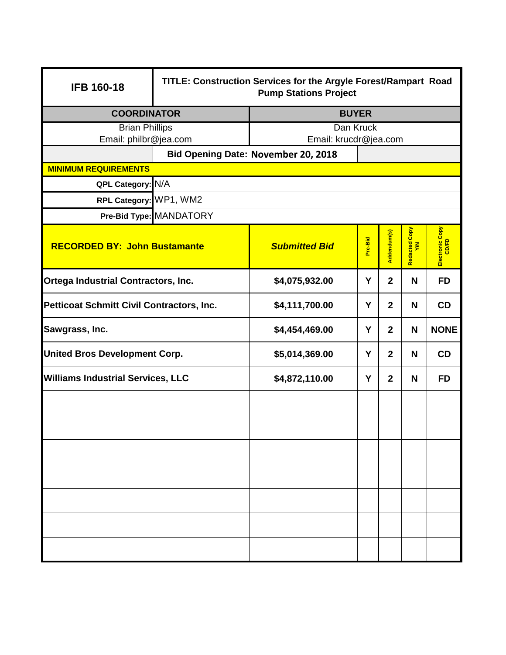| <b>IFB 160-18</b>                                | TITLE: Construction Services for the Argyle Forest/Rampart Road<br><b>Pump Stations Project</b> |                                            |                          |                |                      |                          |  |  |
|--------------------------------------------------|-------------------------------------------------------------------------------------------------|--------------------------------------------|--------------------------|----------------|----------------------|--------------------------|--|--|
| <b>COORDINATOR</b>                               | <b>BUYER</b>                                                                                    |                                            |                          |                |                      |                          |  |  |
| <b>Brian Phillips</b>                            |                                                                                                 | Dan Kruck                                  |                          |                |                      |                          |  |  |
| Email: philbr@jea.com<br>Email: krucdr@jea.com   |                                                                                                 |                                            |                          |                |                      |                          |  |  |
|                                                  |                                                                                                 | <b>Bid Opening Date: November 20, 2018</b> |                          |                |                      |                          |  |  |
| <b>MINIMUM REQUIREMENTS</b><br>QPL Category: N/A |                                                                                                 |                                            |                          |                |                      |                          |  |  |
| RPL Category: WP1, WM2                           |                                                                                                 |                                            |                          |                |                      |                          |  |  |
|                                                  | Pre-Bid Type: MANDATORY                                                                         |                                            |                          |                |                      |                          |  |  |
|                                                  |                                                                                                 |                                            |                          |                |                      |                          |  |  |
| <b>RECORDED BY: John Bustamante</b>              |                                                                                                 | <b>Submitted Bid</b>                       | Pre-Bid                  | Addendum(s)    | Redacted Copy<br>Y/N | Electronic Copy<br>CD/FD |  |  |
| <b>Ortega Industrial Contractors, Inc.</b>       |                                                                                                 | \$4,075,932.00                             | Y<br>$\overline{2}$<br>N |                | <b>FD</b>            |                          |  |  |
| <b>Petticoat Schmitt Civil Contractors, Inc.</b> |                                                                                                 | \$4,111,700.00                             | Y                        | $\overline{2}$ | N                    | <b>CD</b>                |  |  |
| Sawgrass, Inc.                                   |                                                                                                 | \$4,454,469.00                             | Y                        | $\overline{2}$ | N                    | <b>NONE</b>              |  |  |
| <b>United Bros Development Corp.</b>             |                                                                                                 | \$5,014,369.00                             | Y                        | $\overline{2}$ | N                    | <b>CD</b>                |  |  |
| <b>Williams Industrial Services, LLC</b>         |                                                                                                 | \$4,872,110.00                             | Y                        | $\overline{2}$ | N                    | <b>FD</b>                |  |  |
|                                                  |                                                                                                 |                                            |                          |                |                      |                          |  |  |
|                                                  |                                                                                                 |                                            |                          |                |                      |                          |  |  |
|                                                  |                                                                                                 |                                            |                          |                |                      |                          |  |  |
|                                                  |                                                                                                 |                                            |                          |                |                      |                          |  |  |
|                                                  |                                                                                                 |                                            |                          |                |                      |                          |  |  |
|                                                  |                                                                                                 |                                            |                          |                |                      |                          |  |  |
|                                                  |                                                                                                 |                                            |                          |                |                      |                          |  |  |